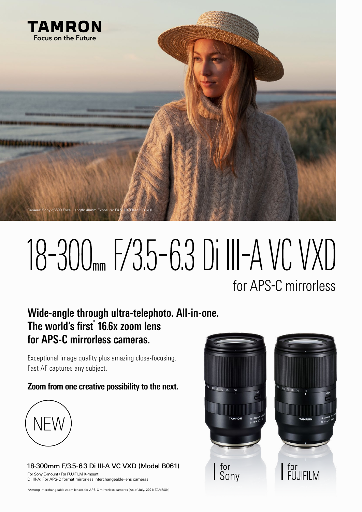

# 18-300 F/35-63 Di III-A VC VXD for APS-C mirrorless

## **Wide-angle through ultra-telephoto. All-in-one.** The world's first<sup>\*</sup> 16.6x zoom lens **for APS-C mirrorless cameras.**

Exceptional image quality plus amazing close-focusing. Fast AF captures any subject.

**Zoom from one creative possibility to the next.** 



18-300mm F/3.5-6.3 Di III-A VC VXD (Model B061) For Sony E-mount / For FUJIFILM X-mount Di III-A: For APS-C format mirrorless interchangeable-lens cameras

\*Among interchangeable zoom lenses for APS-C mirrorless cameras (As of July, 2021; TAMRON)